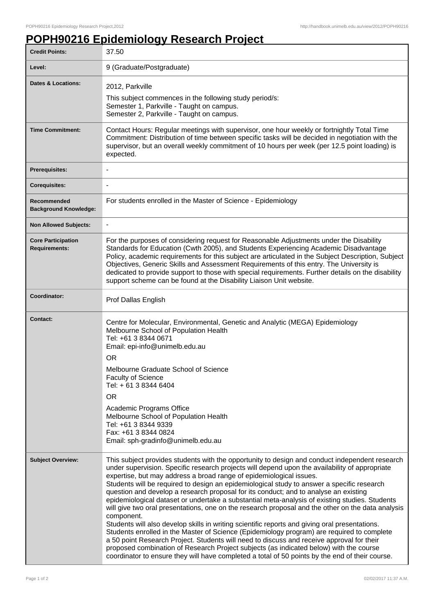## **POPH90216 Epidemiology Research Project**

| <b>Credit Points:</b>                             | 37.50                                                                                                                                                                                                                                                                                                                                                                                                                                                                                                                                                                                                                                                                                                                                                                                                                                                                                                                                                                                                                                                                                                                                                                        |
|---------------------------------------------------|------------------------------------------------------------------------------------------------------------------------------------------------------------------------------------------------------------------------------------------------------------------------------------------------------------------------------------------------------------------------------------------------------------------------------------------------------------------------------------------------------------------------------------------------------------------------------------------------------------------------------------------------------------------------------------------------------------------------------------------------------------------------------------------------------------------------------------------------------------------------------------------------------------------------------------------------------------------------------------------------------------------------------------------------------------------------------------------------------------------------------------------------------------------------------|
| Level:                                            | 9 (Graduate/Postgraduate)                                                                                                                                                                                                                                                                                                                                                                                                                                                                                                                                                                                                                                                                                                                                                                                                                                                                                                                                                                                                                                                                                                                                                    |
| <b>Dates &amp; Locations:</b>                     | 2012, Parkville<br>This subject commences in the following study period/s:<br>Semester 1, Parkville - Taught on campus.<br>Semester 2, Parkville - Taught on campus.                                                                                                                                                                                                                                                                                                                                                                                                                                                                                                                                                                                                                                                                                                                                                                                                                                                                                                                                                                                                         |
| <b>Time Commitment:</b>                           | Contact Hours: Regular meetings with supervisor, one hour weekly or fortnightly Total Time<br>Commitment: Distribution of time between specific tasks will be decided in negotiation with the<br>supervisor, but an overall weekly commitment of 10 hours per week (per 12.5 point loading) is<br>expected.                                                                                                                                                                                                                                                                                                                                                                                                                                                                                                                                                                                                                                                                                                                                                                                                                                                                  |
| <b>Prerequisites:</b>                             |                                                                                                                                                                                                                                                                                                                                                                                                                                                                                                                                                                                                                                                                                                                                                                                                                                                                                                                                                                                                                                                                                                                                                                              |
| <b>Corequisites:</b>                              |                                                                                                                                                                                                                                                                                                                                                                                                                                                                                                                                                                                                                                                                                                                                                                                                                                                                                                                                                                                                                                                                                                                                                                              |
| Recommended<br><b>Background Knowledge:</b>       | For students enrolled in the Master of Science - Epidemiology                                                                                                                                                                                                                                                                                                                                                                                                                                                                                                                                                                                                                                                                                                                                                                                                                                                                                                                                                                                                                                                                                                                |
| <b>Non Allowed Subjects:</b>                      |                                                                                                                                                                                                                                                                                                                                                                                                                                                                                                                                                                                                                                                                                                                                                                                                                                                                                                                                                                                                                                                                                                                                                                              |
| <b>Core Participation</b><br><b>Requirements:</b> | For the purposes of considering request for Reasonable Adjustments under the Disability<br>Standards for Education (Cwth 2005), and Students Experiencing Academic Disadvantage<br>Policy, academic requirements for this subject are articulated in the Subject Description, Subject<br>Objectives, Generic Skills and Assessment Requirements of this entry. The University is<br>dedicated to provide support to those with special requirements. Further details on the disability<br>support scheme can be found at the Disability Liaison Unit website.                                                                                                                                                                                                                                                                                                                                                                                                                                                                                                                                                                                                                |
| Coordinator:                                      | Prof Dallas English                                                                                                                                                                                                                                                                                                                                                                                                                                                                                                                                                                                                                                                                                                                                                                                                                                                                                                                                                                                                                                                                                                                                                          |
| <b>Contact:</b>                                   | Centre for Molecular, Environmental, Genetic and Analytic (MEGA) Epidemiology<br>Melbourne School of Population Health<br>Tel: +61 3 8344 0671<br>Email: epi-info@unimelb.edu.au<br><b>OR</b><br>Melbourne Graduate School of Science<br>Faculty of Science<br>Tel: + 61 3 8344 6404<br><b>OR</b><br>Academic Programs Office<br>Melbourne School of Population Health<br>Tel: +61 3 8344 9339<br>Fax: +61 3 8344 0824<br>Email: sph-gradinfo@unimelb.edu.au                                                                                                                                                                                                                                                                                                                                                                                                                                                                                                                                                                                                                                                                                                                 |
| <b>Subject Overview:</b>                          | This subject provides students with the opportunity to design and conduct independent research<br>under supervision. Specific research projects will depend upon the availability of appropriate<br>expertise, but may address a broad range of epidemiological issues.<br>Students will be required to design an epidemiological study to answer a specific research<br>question and develop a research proposal for its conduct; and to analyse an existing<br>epidemiological dataset or undertake a substantial meta-analysis of existing studies. Students<br>will give two oral presentations, one on the research proposal and the other on the data analysis<br>component.<br>Students will also develop skills in writing scientific reports and giving oral presentations.<br>Students enrolled in the Master of Science (Epidemiology program) are required to complete<br>a 50 point Research Project. Students will need to discuss and receive approval for their<br>proposed combination of Research Project subjects (as indicated below) with the course<br>coordinator to ensure they will have completed a total of 50 points by the end of their course. |